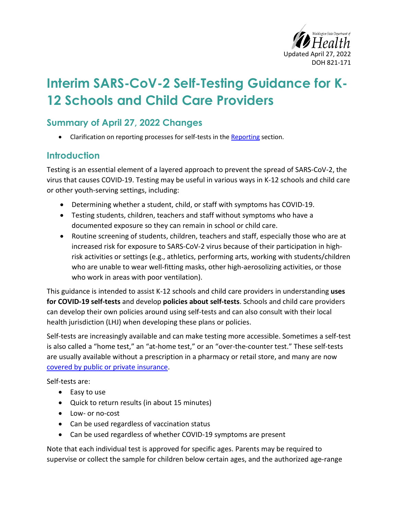

# **Interim SARS-CoV-2 Self-Testing Guidance for K-12 Schools and Child Care Providers**

#### **Summary of April 27, 2022 Changes**

• Clarification on reporting processes for self-tests in th[e Reporting](#page-3-0) section.

#### **Introduction**

Testing is an essential element of a layered approach to prevent the spread of SARS-CoV-2, the virus that causes COVID-19. Testing may be useful in various ways in K-12 schools and child care or other youth-serving settings, including:

- Determining whether a student, child, or staff with symptoms has COVID-19.
- Testing students, children, teachers and staff without symptoms who have a documented exposure so they can remain in school or child care.
- Routine screening of students, children, teachers and staff, especially those who are at increased risk for exposure to SARS-CoV-2 virus because of their participation in highrisk activities or settings (e.g., athletics, performing arts, working with students/children who are unable to wear well-fitting masks, other high-aerosolizing activities, or those who work in areas with poor ventilation).

This guidance is intended to assist K-12 schools and child care providers in understanding **uses for COVID-19 self-tests** and develop **policies about self-tests**. Schools and child care providers can develop their own policies around using self-tests and can also consult with their local health jurisdiction (LHJ) when developing these plans or policies.

Self-tests are increasingly available and can make testing more accessible. Sometimes a self-test is also called a "home test," an "at-home test," or an "over-the-counter test." These self-tests are usually available without a prescription in a pharmacy or retail store, and many are now [covered by public or private insurance.](https://www.cms.gov/how-to-get-your-at-home-OTC-COVID-19-test-for-free)

Self-tests are:

- Easy to use
- Quick to return results (in about 15 minutes)
- Low- or no-cost
- Can be used regardless of vaccination status
- Can be used regardless of whether COVID-19 symptoms are present

Note that each individual test is approved for specific ages. Parents may be required to supervise or collect the sample for children below certain ages, and the authorized age-range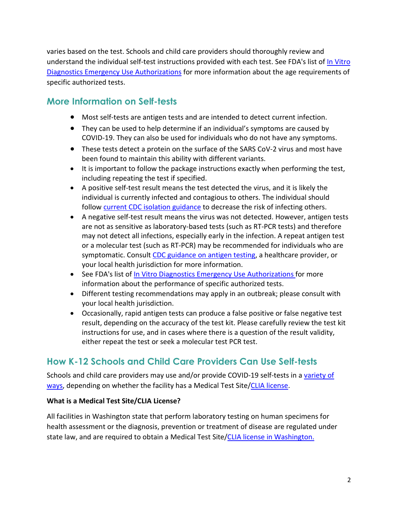varies based on the test. Schools and child care providers should thoroughly review and understand the individual self-test instructions provided with each test. See FDA's list of [In Vitro](https://www.fda.gov/medical-devices/coronavirus-disease-2019-covid-19-emergency-use-authorizations-medical-devices/in-vitro-diagnostics-euas#individual-antigen)  [Diagnostics Emergency Use Authorizations](https://www.fda.gov/medical-devices/coronavirus-disease-2019-covid-19-emergency-use-authorizations-medical-devices/in-vitro-diagnostics-euas#individual-antigen) for more information about the age requirements of specific authorized tests.

#### **More Information on Self-tests**

- Most self-tests are antigen tests and are intended to detect current infection.
- They can be used to help determine if an individual's symptoms are caused by COVID-19. They can also be used for individuals who do not have any symptoms.
- These tests detect a protein on the surface of the SARS CoV-2 virus and most have been found to maintain this ability with different variants.
- It is important to follow the package instructions exactly when performing the test, including repeating the test if specified.
- A positive self-test result means the test detected the virus, and it is likely the individual is currently infected and contagious to others. The individual should follow [current CDC isolation guidance](https://www.cdc.gov/coronavirus/2019-ncov/your-health/quarantine-isolation.html) to decrease the risk of infecting others.
- A negative self-test result means the virus was not detected. However, antigen tests are not as sensitive as laboratory-based tests (such as RT-PCR tests) and therefore may not detect all infections, especially early in the infection. A repeat antigen test or a molecular test (such as RT-PCR) may be recommended for individuals who are symptomatic. Consult [CDC guidance on antigen testing,](https://www.cdc.gov/coronavirus/2019-ncov/lab/resources/antigen-tests-guidelines.html) a healthcare provider, or your local health jurisdiction for more information.
- See FDA's list of In Vitro Diagnostics Emergency Use Authorizations for more information about the performance of specific authorized tests.
- Different testing recommendations may apply in an outbreak; please consult with your local health jurisdiction.
- Occasionally, rapid antigen tests can produce a false positive or false negative test result, depending on the accuracy of the test kit. Please carefully review the test kit instructions for use, and in cases where there is a question of the result validity, either repeat the test or seek a molecular test PCR test.

#### **How K-12 Schools and Child Care Providers Can Use Self-tests**

Schools and child care providers may use and/or provide COVID-19 self-tests in a [variety of](#page-3-1)  [ways,](#page-3-1) depending on whether the facility has a Medical Test Site[/CLIA license.](#page-2-0)

#### **What is a Medical Test Site/CLIA License?**

All facilities in Washington state that perform laboratory testing on human specimens for health assessment or the diagnosis, prevention or treatment of disease are regulated under state law, and are required to obtain a Medical Test Site[/CLIA license in Washington.](https://www.doh.wa.gov/LicensesPermitsandCertificates/FacilitiesNewReneworUpdate/LaboratoryQualityAssurance/Licensing/Applications)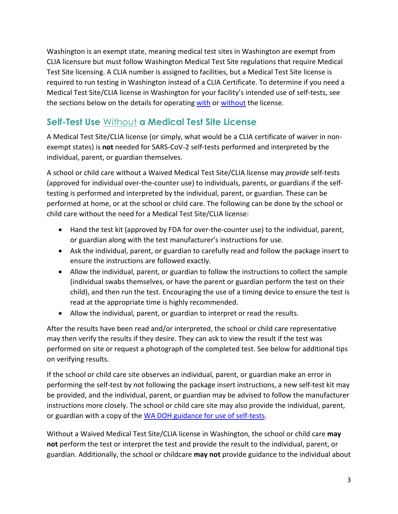Washington is an exempt state, meaning medical test sites in Washington are exempt from CLIA licensure but must follow Washington Medical Test Site regulations that require Medical Test Site licensing. A CLIA number is assigned to facilities, but a Medical Test Site license is required to run testing in Washington instead of a CLIA Certificate. To determine if you need a Medical Test Site/CLIA license in Washington for your facility's intended use of self-tests, see the sections below on the details for operating [with](#page-3-2) or [without](#page-2-0) the license.

### <span id="page-2-0"></span>**Self-Test Use** Without **a Medical Test Site License**

A Medical Test Site/CLIA license (or simply, what would be a CLIA certificate of waiver in nonexempt states) is **not** needed for SARS-CoV-2 self-tests performed and interpreted by the individual, parent, or guardian themselves.

A school or child care without a Waived Medical Test Site/CLIA license may *provide* self-tests (approved for individual over-the-counter use) to individuals, parents, or guardians if the selftesting is performed and interpreted by the individual, parent, or guardian. These can be performed at home, or at the school or child care. The following can be done by the school or child care without the need for a Medical Test Site/CLIA license:

- Hand the test kit (approved by FDA for over-the-counter use) to the individual, parent, or guardian along with the test manufacturer's instructions for use.
- Ask the individual, parent, or guardian to carefully read and follow the package insert to ensure the instructions are followed exactly.
- Allow the individual, parent, or guardian to follow the instructions to collect the sample (individual swabs themselves, or have the parent or guardian perform the test on their child), and then run the test. Encouraging the use of a timing device to ensure the test is read at the appropriate time is highly recommended.
- Allow the individual, parent, or guardian to interpret or read the results.

After the results have been read and/or interpreted, the school or child care representative may then verify the results if they desire. They can ask to view the result if the test was performed on site or request a photograph of the completed test. See below for additional tips on verifying results.

If the school or child care site observes an individual, parent, or guardian make an error in performing the self-test by not following the package insert instructions, a new self-test kit may be provided, and the individual, parent, or guardian may be advised to follow the manufacturer instructions more closely. The school or child care site may also provide the individual, parent, or guardian with a copy of the [WA DOH guidance for use of self-tests.](https://www.doh.wa.gov/Portals/1/Documents/1600/coronavirus/420-360-SARSCoV2SelfTesting.pdf)

Without a Waived Medical Test Site/CLIA license in Washington, the school or child care **may not** perform the test or interpret the test and provide the result to the individual, parent, or guardian. Additionally, the school or childcare **may not** provide guidance to the individual about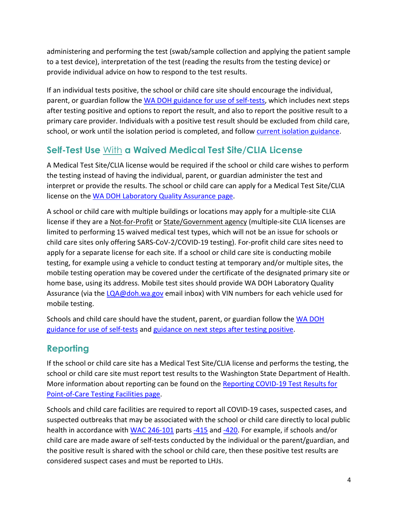administering and performing the test (swab/sample collection and applying the patient sample to a test device), interpretation of the test (reading the results from the testing device) or provide individual advice on how to respond to the test results.

If an individual tests positive, the school or child care site should encourage the individual, parent, or guardian follow the [WA DOH guidance for use of self-tests,](https://www.doh.wa.gov/Portals/1/Documents/1600/coronavirus/420-360-SARSCoV2SelfTesting.pdf) which includes next steps after testing positive and options to report the result, and also to report the positive result to a primary care provider. Individuals with a positive test result should be excluded from child care, school, or work until the isolation period is completed, and follow [current isolation guidance.](https://doh.wa.gov/emergencies/covid-19/isolation-and-quarantine-covid-19)

## <span id="page-3-2"></span>**Self-Test Use** With **a Waived Medical Test Site/CLIA License**

A Medical Test Site/CLIA license would be required if the school or child care wishes to perform the testing instead of having the individual, parent, or guardian administer the test and interpret or provide the results. The school or child care can apply for a Medical Test Site/CLIA license on th[e WA DOH Laboratory Quality Assurance page.](https://www.doh.wa.gov/LicensesPermitsandCertificates/FacilitiesNewReneworUpdate/LaboratoryQualityAssurance/Licensing/Applications)

A school or child care with multiple buildings or locations may apply for a multiple-site CLIA license if they are a Not-for-Profit or State/Government agency (multiple-site CLIA licenses are limited to performing 15 waived medical test types, which will not be an issue for schools or child care sites only offering SARS-CoV-2/COVID-19 testing). For-profit child care sites need to apply for a separate license for each site. If a school or child care site is conducting mobile testing, for example using a vehicle to conduct testing at temporary and/or multiple sites, the mobile testing operation may be covered under the certificate of the designated primary site or home base, using its address. Mobile test sites should provide WA DOH Laboratory Quality Assurance (via the [LQA@doh.wa.gov](mailto:LQA@doh.wa.gov) email inbox) with VIN numbers for each vehicle used for mobile testing.

Schools and child care should have the student, parent, or guardian follow the WA DOH [guidance for use of self-tests](https://www.doh.wa.gov/Portals/1/Documents/1600/coronavirus/420-360-SARSCoV2SelfTesting.pdf) and [guidance on next steps after testing positive.](https://doh.wa.gov/sites/default/files/2022-02/COVIDcasepositive.pdf)

## <span id="page-3-0"></span>**Reporting**

If the school or child care site has a Medical Test Site/CLIA license and performs the testing, the school or child care site must report test results to the Washington State Department of Health. More information about reporting can be found on the Reporting COVID-19 Test Results for [Point-of-Care Testing Facilities page.](https://www.doh.wa.gov/Emergencies/COVID19/HealthcareProviders/ReportingTestResults/ReportingCOVID19TestResultsforPointofCareTestingFacilities) 

<span id="page-3-1"></span>Schools and child care facilities are required to report all COVID-19 cases, suspected cases, and suspected outbreaks that may be associated with the school or child care directly to local public health in accordance with [WAC 246-101](https://gcc02.safelinks.protection.outlook.com/?url=https%3A%2F%2Fapp.leg.wa.gov%2Fwac%2Fdefault.aspx%3Fcite%3D246-101&data=05%7C01%7CBeth.Payne%40doh.wa.gov%7C77edb9137fd249f6045008da2243ae9b%7C11d0e217264e400a8ba057dcc127d72d%7C0%7C0%7C637859971328345869%7CUnknown%7CTWFpbGZsb3d8eyJWIjoiMC4wLjAwMDAiLCJQIjoiV2luMzIiLCJBTiI6Ik1haWwiLCJXVCI6Mn0%3D%7C3000%7C%7C%7C&sdata=2xd%2Bs5442hvQ5F3Q6Wfj7ciof3zeNwbRwW6xGlMD3Ns%3D&reserved=0) parts [-415](https://gcc02.safelinks.protection.outlook.com/?url=https%3A%2F%2Fapp.leg.wa.gov%2FWAC%2Fdefault.aspx%3Fcite%3D246-101-415&data=05%7C01%7CBeth.Payne%40doh.wa.gov%7C77edb9137fd249f6045008da2243ae9b%7C11d0e217264e400a8ba057dcc127d72d%7C0%7C0%7C637859971328345869%7CUnknown%7CTWFpbGZsb3d8eyJWIjoiMC4wLjAwMDAiLCJQIjoiV2luMzIiLCJBTiI6Ik1haWwiLCJXVCI6Mn0%3D%7C3000%7C%7C%7C&sdata=OkRyr6yORbnldecRU%2BLItZng2ZU5kr0HM6CIOHkXBqw%3D&reserved=0) and [-420.](https://gcc02.safelinks.protection.outlook.com/?url=https%3A%2F%2Fapp.leg.wa.gov%2FWAC%2Fdefault.aspx%3Fcite%3D246-101-420&data=05%7C01%7CBeth.Payne%40doh.wa.gov%7C77edb9137fd249f6045008da2243ae9b%7C11d0e217264e400a8ba057dcc127d72d%7C0%7C0%7C637859971328345869%7CUnknown%7CTWFpbGZsb3d8eyJWIjoiMC4wLjAwMDAiLCJQIjoiV2luMzIiLCJBTiI6Ik1haWwiLCJXVCI6Mn0%3D%7C3000%7C%7C%7C&sdata=sMAgZl04YVdtVGazit3NRgIeqz%2B67KLk4eZdrz2s3%2FE%3D&reserved=0) For example, if schools and/or child care are made aware of self-tests conducted by the individual or the parent/guardian, and the positive result is shared with the school or child care, then these positive test results are considered suspect cases and must be reported to LHJs.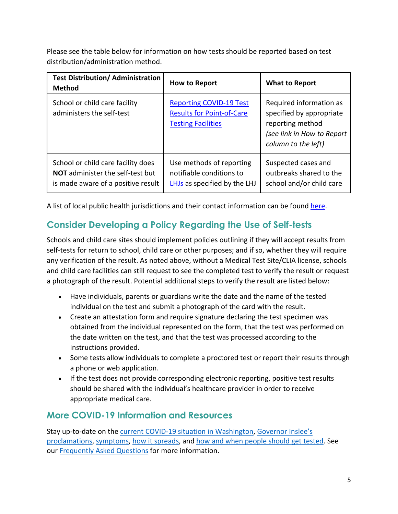Please see the table below for information on how tests should be reported based on test distribution/administration method.

| <b>Test Distribution/ Administration</b><br><b>Method</b>                                                           | How to Report                                                                                   | <b>What to Report</b>                                                                                                        |
|---------------------------------------------------------------------------------------------------------------------|-------------------------------------------------------------------------------------------------|------------------------------------------------------------------------------------------------------------------------------|
| School or child care facility<br>administers the self-test                                                          | <b>Reporting COVID-19 Test</b><br><b>Results for Point-of-Care</b><br><b>Testing Facilities</b> | Required information as<br>specified by appropriate<br>reporting method<br>(see link in How to Report<br>column to the left) |
| School or child care facility does<br><b>NOT</b> administer the self-test but<br>is made aware of a positive result | Use methods of reporting<br>notifiable conditions to<br>LHJs as specified by the LHJ            | Suspected cases and<br>outbreaks shared to the<br>school and/or child care                                                   |

A list of local public health jurisdictions and their contact information can be found [here.](https://gcc02.safelinks.protection.outlook.com/?url=https%3A%2F%2Fdoh.wa.gov%2Fabout-us%2Fwashingtons-public-health-system%2Fwashington-state-local-health-jurisdictions&data=05%7C01%7CBeth.Payne%40doh.wa.gov%7C77edb9137fd249f6045008da2243ae9b%7C11d0e217264e400a8ba057dcc127d72d%7C0%7C0%7C637859971328345869%7CUnknown%7CTWFpbGZsb3d8eyJWIjoiMC4wLjAwMDAiLCJQIjoiV2luMzIiLCJBTiI6Ik1haWwiLCJXVCI6Mn0%3D%7C3000%7C%7C%7C&sdata=71DSDCxfwFLqlzJWLJxgMcYwK1sGkY46%2FyqPWiP%2FF9k%3D&reserved=0)

# **Consider Developing a Policy Regarding the Use of Self-tests**

Schools and child care sites should implement policies outlining if they will accept results from self-tests for return to school, child care or other purposes; and if so, whether they will require any verification of the result. As noted above, without a Medical Test Site/CLIA license, schools and child care facilities can still request to see the completed test to verify the result or request a photograph of the result. Potential additional steps to verify the result are listed below:

- Have individuals, parents or guardians write the date and the name of the tested individual on the test and submit a photograph of the card with the result.
- Create an attestation form and require signature declaring the test specimen was obtained from the individual represented on the form, that the test was performed on the date written on the test, and that the test was processed according to the instructions provided.
- Some tests allow individuals to complete a proctored test or report their results through a phone or web application.
- If the test does not provide corresponding electronic reporting, positive test results should be shared with the individual's healthcare provider in order to receive appropriate medical care.

#### **More COVID-19 Information and Resources**

Stay up-to-date on the [current COVID-19 situation in Washington,](https://www.doh.wa.gov/Emergencies/Coronavirus) [Governor Inslee's](https://www.governor.wa.gov/office-governor/official-actions/proclamations) [proclamations,](https://www.governor.wa.gov/office-governor/official-actions/proclamations) [symptoms,](https://www.doh.wa.gov/Emergencies/NovelCoronavirusOutbreak2020/FrequentlyAskedQuestions#what-are-symptoms) [how it spreads,](https://www.doh.wa.gov/Emergencies/NovelCoronavirusOutbreak2020/FrequentlyAskedQuestions#spread) and [how and when people should get tested.](https://www.doh.wa.gov/Emergencies/NovelCoronavirusOutbreak2020/TestingforCOVID19) See our [Frequently Asked Questions](https://www.doh.wa.gov/Emergencies/NovelCoronavirusOutbreak2020/FrequentlyAskedQuestions) for more information.